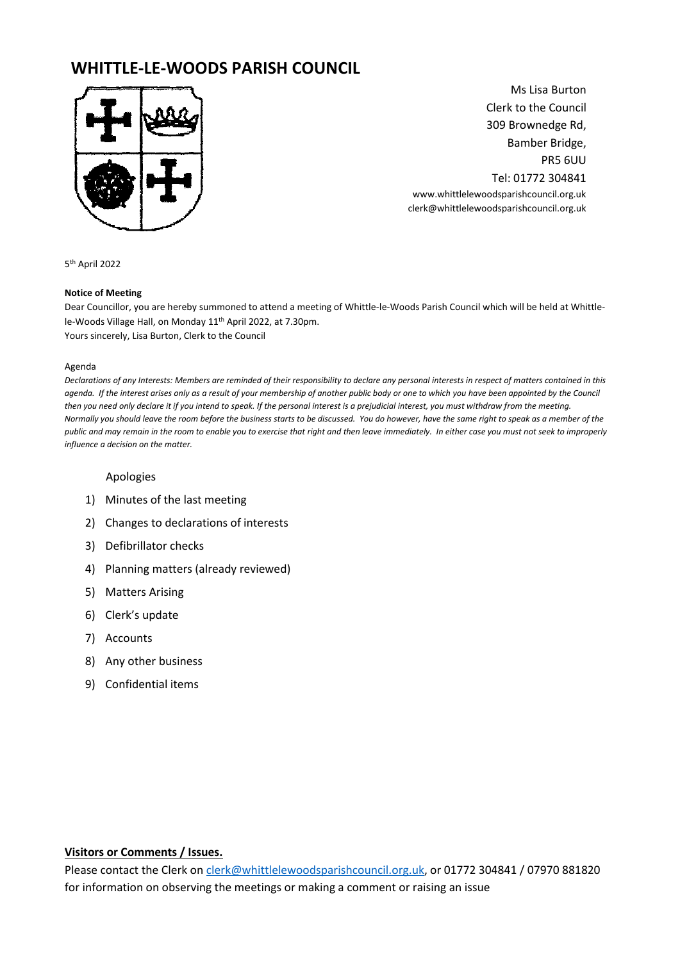# **WHITTLE-LE-WOODS PARISH COUNCIL**



Ms Lisa Burton Clerk to the Council 309 Brownedge Rd, Bamber Bridge, PR5 6UU Tel: 01772 304841 www.whittlelewoodsparishcouncil.org.uk clerk@whittlelewoodsparishcouncil.org.uk

5 th April 2022

#### **Notice of Meeting**

Dear Councillor, you are hereby summoned to attend a meeting of Whittle-le-Woods Parish Council which will be held at Whittlele-Woods Village Hall, on Monday 11<sup>th</sup> April 2022, at 7.30pm. Yours sincerely, Lisa Burton, Clerk to the Council

#### Agenda

*Declarations of any Interests: Members are reminded of their responsibility to declare any personal interests in respect of matters contained in this agenda. If the interest arises only as a result of your membership of another public body or one to which you have been appointed by the Council then you need only declare it if you intend to speak. If the personal interest is a prejudicial interest, you must withdraw from the meeting. Normally you should leave the room before the business starts to be discussed. You do however, have the same right to speak as a member of the public and may remain in the room to enable you to exercise that right and then leave immediately. In either case you must not seek to improperly influence a decision on the matter.* 

#### Apologies

- 1) Minutes of the last meeting
- 2) Changes to declarations of interests
- 3) Defibrillator checks
- 4) Planning matters (already reviewed)
- 5) Matters Arising
- 6) Clerk's update
- 7) Accounts
- 8) Any other business
- 9) Confidential items

#### **Visitors or Comments / Issues.**

Please contact the Clerk o[n clerk@whittlelewoodsparishcouncil.org.uk,](mailto:clerk@whittlelewoodsparishcouncil.org.uk) or 01772 304841 / 07970 881820 for information on observing the meetings or making a comment or raising an issue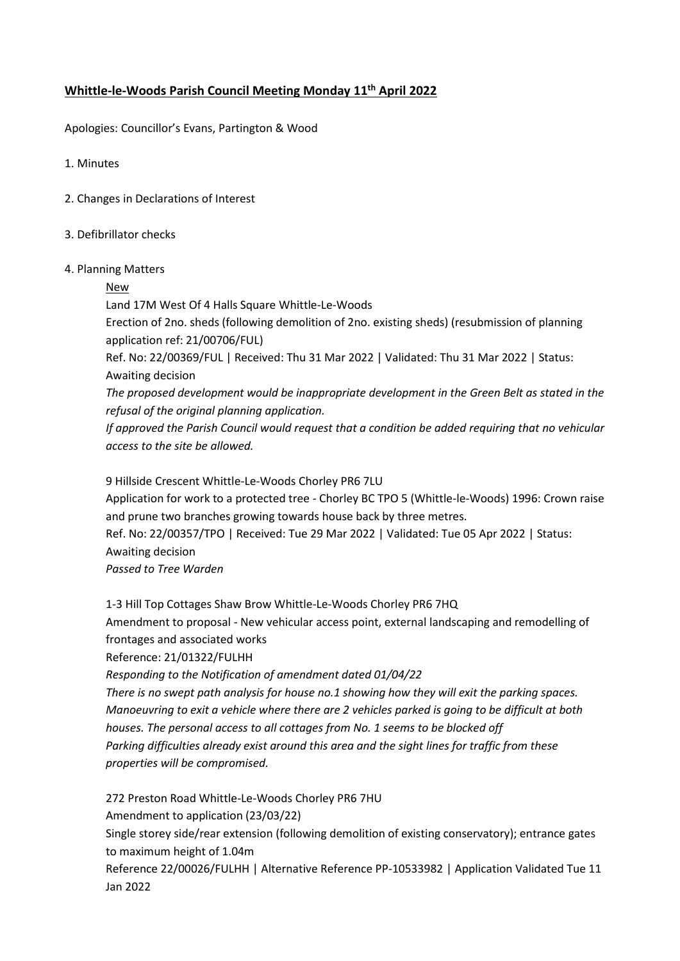# **Whittle-le-Woods Parish Council Meeting Monday 11 th April 2022**

Apologies: Councillor's Evans, Partington & Wood

1. Minutes

- 2. Changes in Declarations of Interest
- 3. Defibrillator checks
- 4. Planning Matters

# New

Land 17M West Of 4 Halls Square Whittle-Le-Woods

Erection of 2no. sheds (following demolition of 2no. existing sheds) (resubmission of planning application ref: 21/00706/FUL)

Ref. No: 22/00369/FUL | Received: Thu 31 Mar 2022 | Validated: Thu 31 Mar 2022 | Status: Awaiting decision

*The proposed development would be inappropriate development in the Green Belt as stated in the refusal of the original planning application.*

*If approved the Parish Council would request that a condition be added requiring that no vehicular access to the site be allowed.*

9 Hillside Crescent Whittle-Le-Woods Chorley PR6 7LU

Application for work to a protected tree - Chorley BC TPO 5 (Whittle-le-Woods) 1996: Crown raise and prune two branches growing towards house back by three metres.

Ref. No: 22/00357/TPO | Received: Tue 29 Mar 2022 | Validated: Tue 05 Apr 2022 | Status: Awaiting decision

*Passed to Tree Warden*

1-3 Hill Top Cottages Shaw Brow Whittle-Le-Woods Chorley PR6 7HQ Amendment to proposal - New vehicular access point, external landscaping and remodelling of frontages and associated works

Reference: 21/01322/FULHH

*Responding to the Notification of amendment dated 01/04/22*

*There is no swept path analysis for house no.1 showing how they will exit the parking spaces. Manoeuvring to exit a vehicle where there are 2 vehicles parked is going to be difficult at both houses. The personal access to all cottages from No. 1 seems to be blocked off Parking difficulties already exist around this area and the sight lines for traffic from these properties will be compromised.*

272 Preston Road Whittle-Le-Woods Chorley PR6 7HU Amendment to application (23/03/22) Single storey side/rear extension (following demolition of existing conservatory); entrance gates to maximum height of 1.04m

Reference 22/00026/FULHH | Alternative Reference PP-10533982 | Application Validated Tue 11 Jan 2022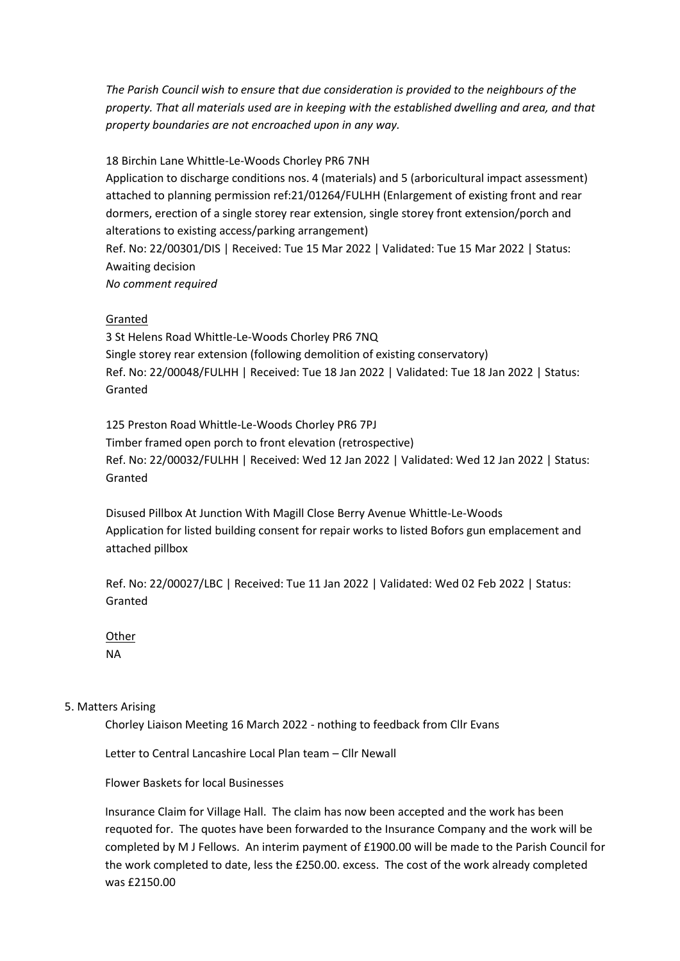*The Parish Council wish to ensure that due consideration is provided to the neighbours of the property. That all materials used are in keeping with the established dwelling and area, and that property boundaries are not encroached upon in any way.*

18 Birchin Lane Whittle-Le-Woods Chorley PR6 7NH

Application to discharge conditions nos. 4 (materials) and 5 (arboricultural impact assessment) attached to planning permission ref:21/01264/FULHH (Enlargement of existing front and rear dormers, erection of a single storey rear extension, single storey front extension/porch and alterations to existing access/parking arrangement) Ref. No: 22/00301/DIS | Received: Tue 15 Mar 2022 | Validated: Tue 15 Mar 2022 | Status: Awaiting decision *No comment required*

# Granted

3 St Helens Road Whittle-Le-Woods Chorley PR6 7NQ Single storey rear extension (following demolition of existing conservatory) Ref. No: 22/00048/FULHH | Received: Tue 18 Jan 2022 | Validated: Tue 18 Jan 2022 | Status: Granted

125 Preston Road Whittle-Le-Woods Chorley PR6 7PJ Timber framed open porch to front elevation (retrospective) Ref. No: 22/00032/FULHH | Received: Wed 12 Jan 2022 | Validated: Wed 12 Jan 2022 | Status: Granted

Disused Pillbox At Junction With Magill Close Berry Avenue Whittle-Le-Woods Application for listed building consent for repair works to listed Bofors gun emplacement and attached pillbox

Ref. No: 22/00027/LBC | Received: Tue 11 Jan 2022 | Validated: Wed 02 Feb 2022 | Status: Granted

**Other** NA

### 5. Matters Arising

Chorley Liaison Meeting 16 March 2022 - nothing to feedback from Cllr Evans

Letter to Central Lancashire Local Plan team – Cllr Newall

Flower Baskets for local Businesses

Insurance Claim for Village Hall. The claim has now been accepted and the work has been requoted for. The quotes have been forwarded to the Insurance Company and the work will be completed by M J Fellows. An interim payment of £1900.00 will be made to the Parish Council for the work completed to date, less the £250.00. excess. The cost of the work already completed was £2150.00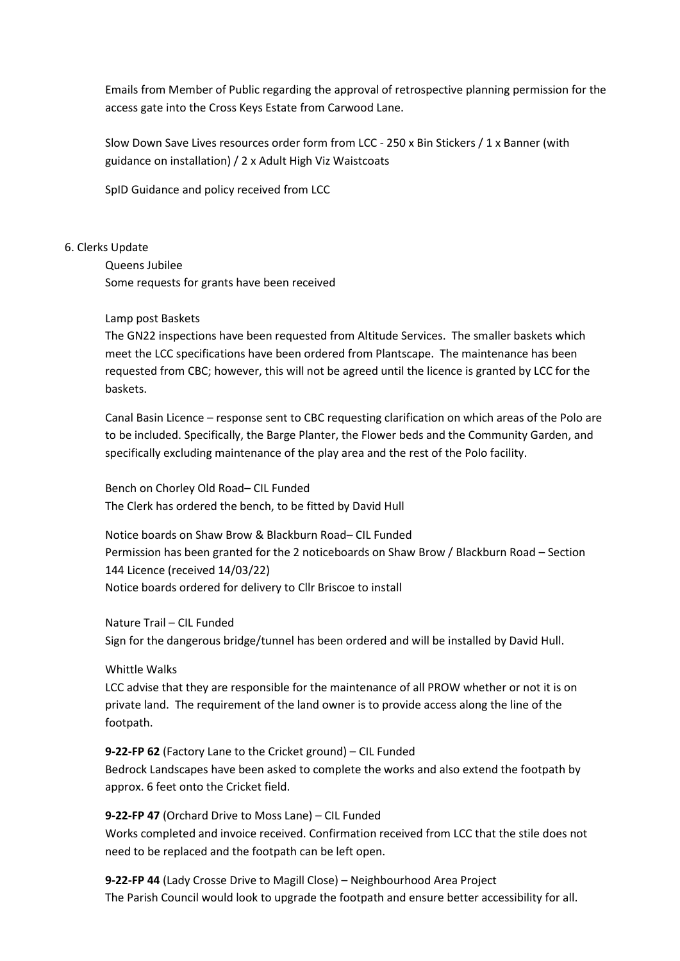Emails from Member of Public regarding the approval of retrospective planning permission for the access gate into the Cross Keys Estate from Carwood Lane.

Slow Down Save Lives resources order form from LCC - 250 x Bin Stickers / 1 x Banner (with guidance on installation) / 2 x Adult High Viz Waistcoats

SpID Guidance and policy received from LCC

#### 6. Clerks Update

Queens Jubilee Some requests for grants have been received

#### Lamp post Baskets

The GN22 inspections have been requested from Altitude Services. The smaller baskets which meet the LCC specifications have been ordered from Plantscape. The maintenance has been requested from CBC; however, this will not be agreed until the licence is granted by LCC for the baskets.

Canal Basin Licence – response sent to CBC requesting clarification on which areas of the Polo are to be included. Specifically, the Barge Planter, the Flower beds and the Community Garden, and specifically excluding maintenance of the play area and the rest of the Polo facility.

Bench on Chorley Old Road– CIL Funded The Clerk has ordered the bench, to be fitted by David Hull

Notice boards on Shaw Brow & Blackburn Road– CIL Funded Permission has been granted for the 2 noticeboards on Shaw Brow / Blackburn Road – Section 144 Licence (received 14/03/22) Notice boards ordered for delivery to Cllr Briscoe to install

Nature Trail – CIL Funded Sign for the dangerous bridge/tunnel has been ordered and will be installed by David Hull.

Whittle Walks

LCC advise that they are responsible for the maintenance of all PROW whether or not it is on private land. The requirement of the land owner is to provide access along the line of the footpath.

**9-22-FP 62** (Factory Lane to the Cricket ground) – CIL Funded Bedrock Landscapes have been asked to complete the works and also extend the footpath by approx. 6 feet onto the Cricket field.

**9-22-FP 47** (Orchard Drive to Moss Lane) – CIL Funded Works completed and invoice received. Confirmation received from LCC that the stile does not need to be replaced and the footpath can be left open.

**9-22-FP 44** (Lady Crosse Drive to Magill Close) – Neighbourhood Area Project The Parish Council would look to upgrade the footpath and ensure better accessibility for all.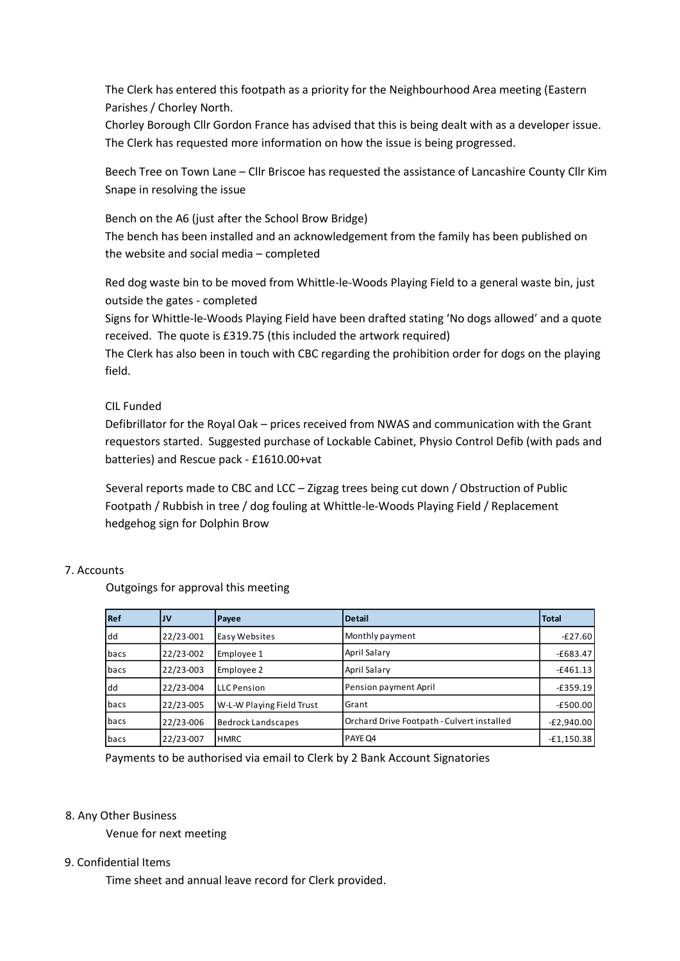The Clerk has entered this footpath as a priority for the Neighbourhood Area meeting (Eastern Parishes / Chorley North.

Chorley Borough Cllr Gordon France has advised that this is being dealt with as a developer issue. The Clerk has requested more information on how the issue is being progressed.

Beech Tree on Town Lane – Cllr Briscoe has requested the assistance of Lancashire County Cllr Kim Snape in resolving the issue

Bench on the A6 (just after the School Brow Bridge) The bench has been installed and an acknowledgement from the family has been published on the website and social media – completed

Red dog waste bin to be moved from Whittle-le-Woods Playing Field to a general waste bin, just outside the gates - completed

Signs for Whittle-le-Woods Playing Field have been drafted stating 'No dogs allowed' and a quote received. The quote is £319.75 (this included the artwork required)

The Clerk has also been in touch with CBC regarding the prohibition order for dogs on the playing field.

# CIL Funded

Defibrillator for the Royal Oak – prices received from NWAS and communication with the Grant requestors started. Suggested purchase of Lockable Cabinet, Physio Control Defib (with pads and batteries) and Rescue pack - £1610.00+vat

Several reports made to CBC and LCC – Zigzag trees being cut down / Obstruction of Public Footpath / Rubbish in tree / dog fouling at Whittle-le-Woods Playing Field / Replacement hedgehog sign for Dolphin Brow

# 7. Accounts

Outgoings for approval this meeting

| Ref            | JV                     | Payee                                                  | <b>Detail</b>                                                              | <b>Total</b> |
|----------------|------------------------|--------------------------------------------------------|----------------------------------------------------------------------------|--------------|
| dd             | 22/23-001              | Easy Websites                                          | Monthly payment                                                            | $-E27.60$    |
| bacs           | 22/23-002              | Employee 1                                             | April Salary                                                               | $-£683.47$   |
| bacs           | 22/23-003              | Employee 2                                             | April Salary                                                               | $-£461.13$   |
| dd             | 22/23-004              | <b>LLC</b> Pension                                     | Pension payment April                                                      | $-£359.19$   |
| bacs           | 22/23-005              | W-L-W Playing Field Trust                              | Grant                                                                      | $-£500.00$   |
| bacs           | 22/23-006              | <b>Bedrock Landscapes</b>                              | Orchard Drive Footpath - Culvert installed                                 | $-E2,940.00$ |
| bacs           | 22/23-007              | <b>HMRC</b>                                            | PAYE Q4                                                                    | $-£1,150.38$ |
| Other Business |                        |                                                        | Payments to be authorised via email to Clerk by 2 Bank Account Signatories |              |
|                | Venue for next meeting |                                                        |                                                                            |              |
| dential Items  |                        |                                                        |                                                                            |              |
|                |                        | Time sheet and annual leave record for Clerk provided. |                                                                            |              |

### 8. Any Other Business

### 9. Confidential Items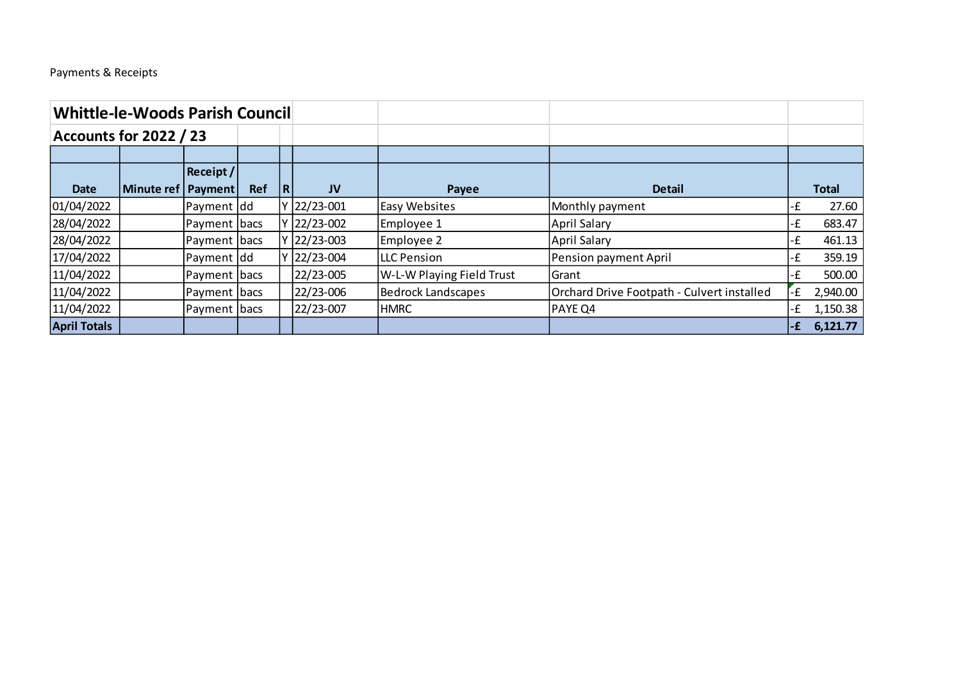# Payments & Receipts

| <b>Whittle-le-Woods Parish Council</b> |            |                |            |                |               |                           |                                            |      |              |
|----------------------------------------|------------|----------------|------------|----------------|---------------|---------------------------|--------------------------------------------|------|--------------|
| <b>Accounts for 2022 / 23</b>          |            |                |            |                |               |                           |                                            |      |              |
|                                        |            |                |            |                |               |                           |                                            |      |              |
|                                        |            | Receipt /      |            |                |               |                           |                                            |      |              |
| <b>Date</b>                            | Minute ref | <b>Payment</b> | <b>Ref</b> | $\overline{R}$ | <b>JV</b>     | Payee                     | <b>Detail</b>                              |      | <b>Total</b> |
| 01/04/2022                             |            | Payment dd     |            | v              | $ 22/23-001 $ | <b>Easy Websites</b>      | Monthly payment                            | -£   | 27.60        |
| 28/04/2022                             |            | Payment   bacs |            | <b>V</b>       | $ 22/23-002 $ | Employee 1                | April Salary                               | -£   | 683.47       |
| 28/04/2022                             |            | Payment bacs   |            |                | Y 22/23-003   | Employee 2                | April Salary                               | -£   | 461.13       |
| 17/04/2022                             |            | Payment dd     |            |                | 22/23-004     | <b>ILLC Pension</b>       | Pension payment April                      | -£   | 359.19       |
| 11/04/2022                             |            | Payment bacs   |            |                | 22/23-005     | W-L-W Playing Field Trust | Grant                                      | -£   | 500.00       |
| 11/04/2022                             |            | Payment  bacs  |            |                | 22/23-006     | Bedrock Landscapes        | Orchard Drive Footpath - Culvert installed | ٠£   | 2,940.00     |
| 11/04/2022                             |            | Payment bacs   |            |                | 22/23-007     | <b>HMRC</b>               | <b>PAYE Q4</b>                             | -£   | 1,150.38     |
| <b>April Totals</b>                    |            |                |            |                |               |                           |                                            | $-E$ | 6,121.77     |